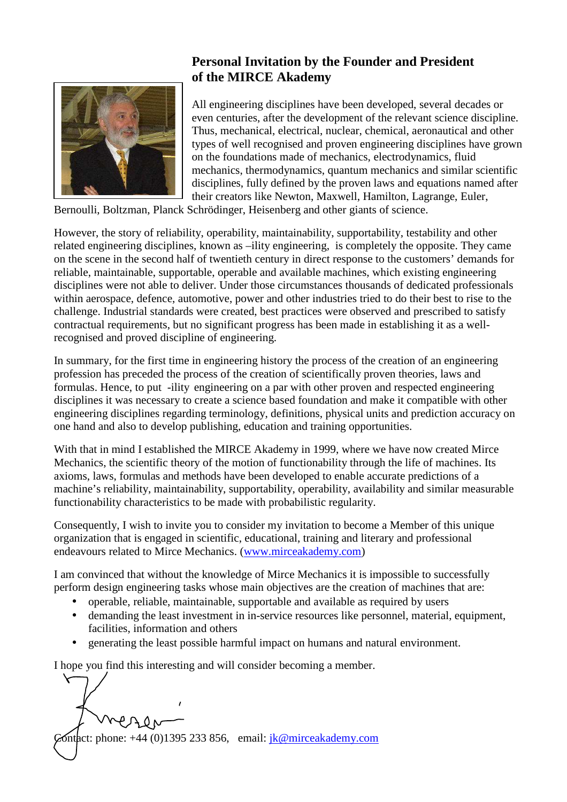

## **Personal Invitation by the Founder and President of the MIRCE Akademy**

All engineering disciplines have been developed, several decades or even centuries, after the development of the relevant science discipline. Thus, mechanical, electrical, nuclear, chemical, aeronautical and other types of well recognised and proven engineering disciplines have grown on the foundations made of mechanics, electrodynamics, fluid mechanics, thermodynamics, quantum mechanics and similar scientific disciplines, fully defined by the proven laws and equations named after their creators like Newton, Maxwell, Hamilton, Lagrange, Euler,

Bernoulli, Boltzman, Planck Schrödinger, Heisenberg and other giants of science.

However, the story of reliability, operability, maintainability, supportability, testability and other related engineering disciplines, known as –ility engineering, is completely the opposite. They came on the scene in the second half of twentieth century in direct response to the customers' demands for reliable, maintainable, supportable, operable and available machines, which existing engineering disciplines were not able to deliver. Under those circumstances thousands of dedicated professionals within aerospace, defence, automotive, power and other industries tried to do their best to rise to the challenge. Industrial standards were created, best practices were observed and prescribed to satisfy contractual requirements, but no significant progress has been made in establishing it as a wellrecognised and proved discipline of engineering.

In summary, for the first time in engineering history the process of the creation of an engineering profession has preceded the process of the creation of scientifically proven theories, laws and formulas. Hence, to put -ility engineering on a par with other proven and respected engineering disciplines it was necessary to create a science based foundation and make it compatible with other engineering disciplines regarding terminology, definitions, physical units and prediction accuracy on one hand and also to develop publishing, education and training opportunities.

With that in mind I established the MIRCE Akademy in 1999, where we have now created Mirce Mechanics, the scientific theory of the motion of functionability through the life of machines. Its axioms, laws, formulas and methods have been developed to enable accurate predictions of a machine's reliability, maintainability, supportability, operability, availability and similar measurable functionability characteristics to be made with probabilistic regularity.

Consequently, I wish to invite you to consider my invitation to become a Member of this unique organization that is engaged in scientific, educational, training and literary and professional endeavours related to Mirce Mechanics. (www.mirceakademy.com)

I am convinced that without the knowledge of Mirce Mechanics it is impossible to successfully perform design engineering tasks whose main objectives are the creation of machines that are:

- operable, reliable, maintainable, supportable and available as required by users
- demanding the least investment in in-service resources like personnel, material, equipment, facilities, information and others
- generating the least possible harmful impact on humans and natural environment.

I hope you find this interesting and will consider becoming a member.

Sontact: phone:  $+44$  (0)1395 233 856, email:  $ik@mirceakademy.com$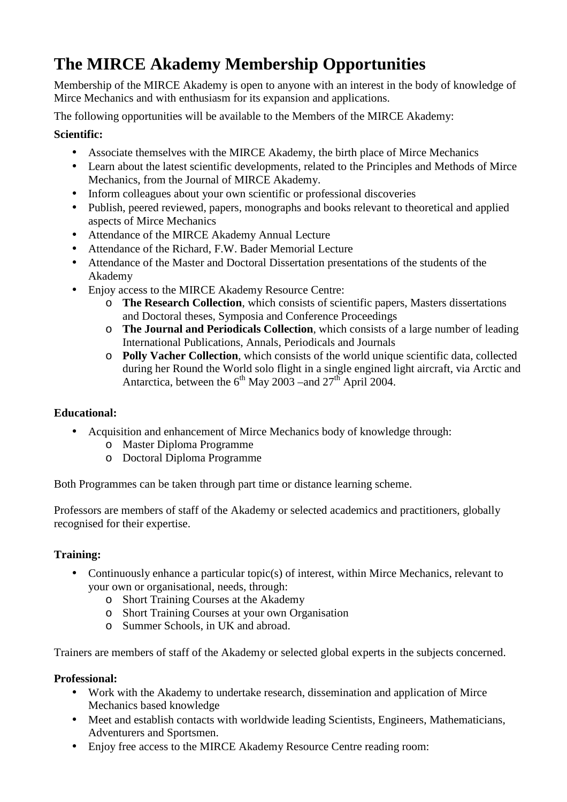# **The MIRCE Akademy Membership Opportunities**

Membership of the MIRCE Akademy is open to anyone with an interest in the body of knowledge of Mirce Mechanics and with enthusiasm for its expansion and applications.

The following opportunities will be available to the Members of the MIRCE Akademy:

### **Scientific:**

- Associate themselves with the MIRCE Akademy, the birth place of Mirce Mechanics
- Learn about the latest scientific developments, related to the Principles and Methods of Mirce Mechanics, from the Journal of MIRCE Akademy.
- Inform colleagues about your own scientific or professional discoveries
- Publish, peered reviewed, papers, monographs and books relevant to theoretical and applied aspects of Mirce Mechanics
- Attendance of the MIRCE Akademy Annual Lecture
- Attendance of the Richard, F.W. Bader Memorial Lecture
- Attendance of the Master and Doctoral Dissertation presentations of the students of the Akademy
- Enjoy access to the MIRCE Akademy Resource Centre:
	- o **The Research Collection**, which consists of scientific papers, Masters dissertations and Doctoral theses, Symposia and Conference Proceedings
	- o **The Journal and Periodicals Collection**, which consists of a large number of leading International Publications, Annals, Periodicals and Journals
	- o **Polly Vacher Collection**, which consists of the world unique scientific data, collected during her Round the World solo flight in a single engined light aircraft, via Arctic and Antarctica, between the  $6<sup>th</sup>$  May 2003 –and 27<sup>th</sup> April 2004.

## **Educational:**

- Acquisition and enhancement of Mirce Mechanics body of knowledge through:
	- o Master Diploma Programme
	- o Doctoral Diploma Programme

Both Programmes can be taken through part time or distance learning scheme.

Professors are members of staff of the Akademy or selected academics and practitioners, globally recognised for their expertise.

## **Training:**

- Continuously enhance a particular topic(s) of interest, within Mirce Mechanics, relevant to your own or organisational, needs, through:
	- o Short Training Courses at the Akademy
	- o Short Training Courses at your own Organisation
	- o Summer Schools, in UK and abroad.

Trainers are members of staff of the Akademy or selected global experts in the subjects concerned.

#### **Professional:**

- Work with the Akademy to undertake research, dissemination and application of Mirce Mechanics based knowledge
- Meet and establish contacts with worldwide leading Scientists, Engineers, Mathematicians, Adventurers and Sportsmen.
- Enjoy free access to the MIRCE Akademy Resource Centre reading room: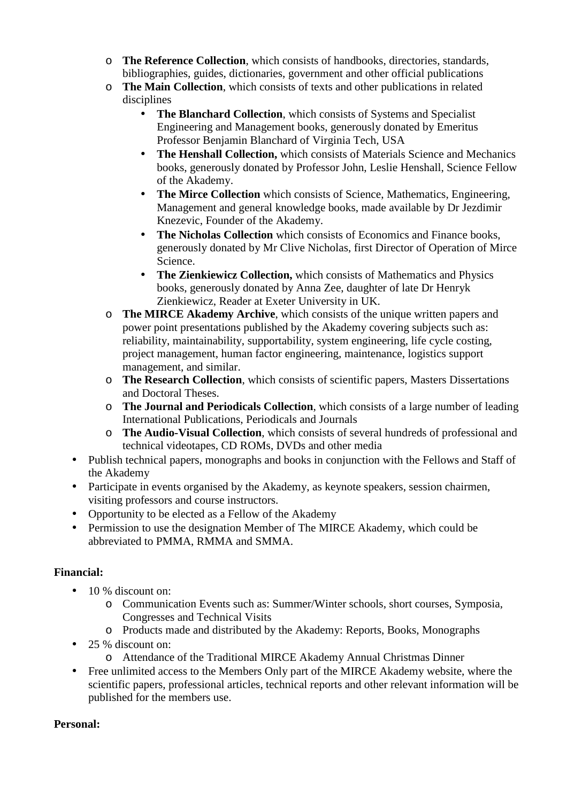- o **The Reference Collection**, which consists of handbooks, directories, standards, bibliographies, guides, dictionaries, government and other official publications
- o **The Main Collection**, which consists of texts and other publications in related disciplines
	- **The Blanchard Collection**, which consists of Systems and Specialist Engineering and Management books, generously donated by Emeritus Professor Benjamin Blanchard of Virginia Tech, USA
	- **The Henshall Collection,** which consists of Materials Science and Mechanics books, generously donated by Professor John, Leslie Henshall, Science Fellow of the Akademy.
	- **The Mirce Collection** which consists of Science, Mathematics, Engineering, Management and general knowledge books, made available by Dr Jezdimir Knezevic, Founder of the Akademy.
	- **The Nicholas Collection** which consists of Economics and Finance books, generously donated by Mr Clive Nicholas, first Director of Operation of Mirce Science.
	- **The Zienkiewicz Collection,** which consists of Mathematics and Physics books, generously donated by Anna Zee, daughter of late Dr Henryk Zienkiewicz, Reader at Exeter University in UK.
- o **The MIRCE Akademy Archive**, which consists of the unique written papers and power point presentations published by the Akademy covering subjects such as: reliability, maintainability, supportability, system engineering, life cycle costing, project management, human factor engineering, maintenance, logistics support management, and similar.
- o **The Research Collection**, which consists of scientific papers, Masters Dissertations and Doctoral Theses.
- o **The Journal and Periodicals Collection**, which consists of a large number of leading International Publications, Periodicals and Journals
- o **The Audio-Visual Collection**, which consists of several hundreds of professional and technical videotapes, CD ROMs, DVDs and other media
- Publish technical papers, monographs and books in conjunction with the Fellows and Staff of the Akademy
- Participate in events organised by the Akademy, as keynote speakers, session chairmen, visiting professors and course instructors.
- Opportunity to be elected as a Fellow of the Akademy
- Permission to use the designation Member of The MIRCE Akademy, which could be abbreviated to PMMA, RMMA and SMMA.

#### **Financial:**

- 10 % discount on:
	- o Communication Events such as: Summer/Winter schools, short courses, Symposia, Congresses and Technical Visits
	- o Products made and distributed by the Akademy: Reports, Books, Monographs
- 25 % discount on:
	- o Attendance of the Traditional MIRCE Akademy Annual Christmas Dinner
- Free unlimited access to the Members Only part of the MIRCE Akademy website, where the scientific papers, professional articles, technical reports and other relevant information will be published for the members use.

#### **Personal:**